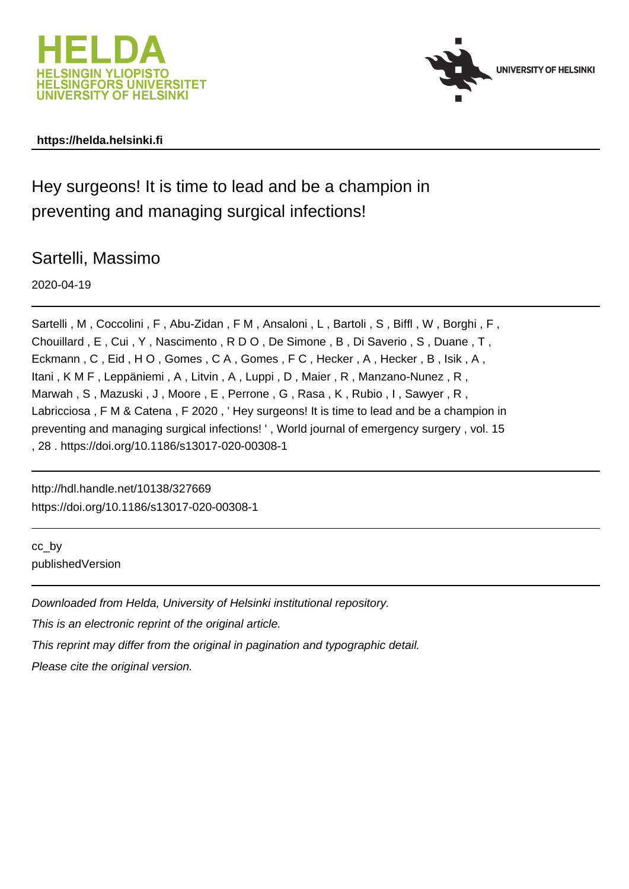



# **https://helda.helsinki.fi**

Hey surgeons! It is time to lead and be a champion in preventing and managing surgical infections!

Sartelli, Massimo

2020-04-19

Sartelli, M, Coccolini, F, Abu-Zidan, FM, Ansaloni, L, Bartoli, S, Biffl, W, Borghi, F, Chouillard , E , Cui , Y , Nascimento , R D O , De Simone , B , Di Saverio , S , Duane , T , Eckmann , C , Eid , H O , Gomes , C A , Gomes , F C , Hecker , A , Hecker , B , Isik , A , Itani , K M F , Leppäniemi , A , Litvin , A , Luppi , D , Maier , R , Manzano-Nunez , R , Marwah, S, Mazuski, J, Moore, E, Perrone, G, Rasa, K, Rubio, I, Sawyer, R, Labricciosa , F M & Catena , F 2020 , ' Hey surgeons! It is time to lead and be a champion in preventing and managing surgical infections! ' , World journal of emergency surgery , vol. 15 , 28 . https://doi.org/10.1186/s13017-020-00308-1

http://hdl.handle.net/10138/327669 https://doi.org/10.1186/s13017-020-00308-1

cc\_by publishedVersion

Downloaded from Helda, University of Helsinki institutional repository. This is an electronic reprint of the original article. This reprint may differ from the original in pagination and typographic detail. Please cite the original version.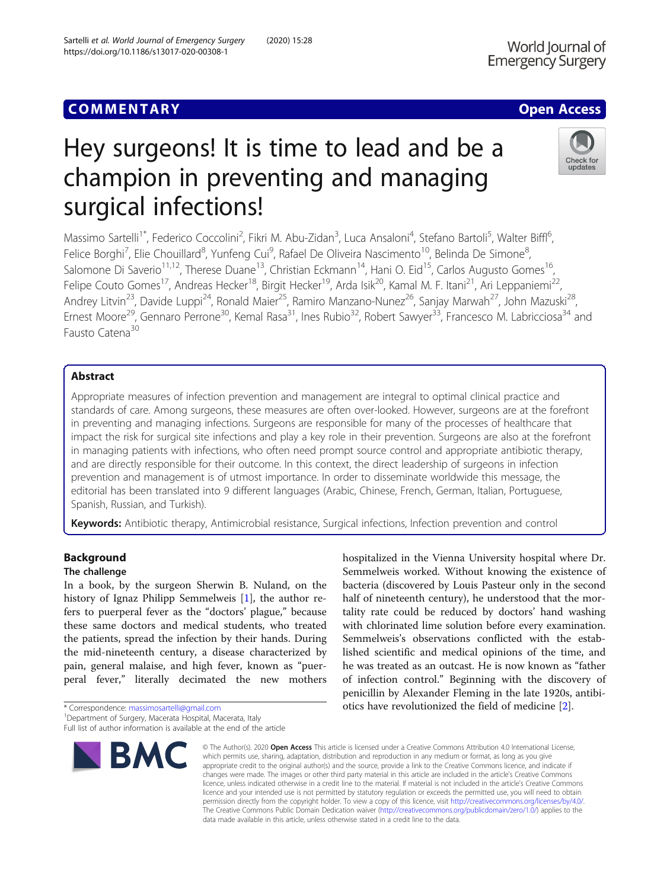# **COMMENTARY COMMENTARY** And the community of the community of the community of the community of the community of the community of the community of the community of the community of the community of the community of the com

# Hey surgeons! It is time to lead and be a champion in preventing and managing surgical infections!

Massimo Sartelli<sup>1\*</sup>, Federico Coccolini<sup>2</sup>, Fikri M. Abu-Zidan<sup>3</sup>, Luca Ansaloni<sup>4</sup>, Stefano Bartoli<sup>5</sup>, Walter Biffl<sup>6</sup> , Felice Borghi<sup>7</sup>, Elie Chouillard<sup>8</sup>, Yunfeng Cui<sup>9</sup>, Rafael De Oliveira Nascimento<sup>10</sup>, Belinda De Simone<sup>8</sup> , Salomone Di Saverio<sup>11,12</sup>, Therese Duane<sup>13</sup>, Christian Eckmann<sup>14</sup>, Hani O. Eid<sup>15</sup>, Carlos Augusto Gomes<sup>16</sup>, Felipe Couto Gomes<sup>17</sup>, Andreas Hecker<sup>18</sup>, Birgit Hecker<sup>19</sup>, Arda Isik<sup>20</sup>, Kamal M. F. Itani<sup>21</sup>, Ari Leppaniemi<sup>22</sup>, Andrey Litvin<sup>23</sup>, Davide Luppi<sup>24</sup>, Ronald Maier<sup>25</sup>, Ramiro Manzano-Nunez<sup>26</sup>, Sanjay Marwah<sup>27</sup>, John Mazuski<sup>28</sup> Ernest Moore<sup>29</sup>, Gennaro Perrone<sup>30</sup>, Kemal Rasa<sup>31</sup>, Ines Rubio<sup>32</sup>, Robert Sawyer<sup>33</sup>, Francesco M. Labricciosa<sup>34</sup> and Fausto Catena<sup>30</sup>

# Abstract

Appropriate measures of infection prevention and management are integral to optimal clinical practice and standards of care. Among surgeons, these measures are often over-looked. However, surgeons are at the forefront in preventing and managing infections. Surgeons are responsible for many of the processes of healthcare that impact the risk for surgical site infections and play a key role in their prevention. Surgeons are also at the forefront in managing patients with infections, who often need prompt source control and appropriate antibiotic therapy, and are directly responsible for their outcome. In this context, the direct leadership of surgeons in infection prevention and management is of utmost importance. In order to disseminate worldwide this message, the editorial has been translated into 9 different languages (Arabic, Chinese, French, German, Italian, Portuguese, Spanish, Russian, and Turkish).

Keywords: Antibiotic therapy, Antimicrobial resistance, Surgical infections, Infection prevention and control

# Background

The challenge

In a book, by the surgeon Sherwin B. Nuland, on the history of Ignaz Philipp Semmelweis [1], the author refers to puerperal fever as the "doctors' plague," because these same doctors and medical students, who treated the patients, spread the infection by their hands. During the mid-nineteenth century, a disease characterized by pain, general malaise, and high fever, known as "puerperal fever," literally decimated the new mothers

RA

appropriate credit to the original author(s) and the source, provide a link to the Creative Commons licence, and indicate if changes were made. The images or other third party material in this article are included in the article's Creative Commons licence, unless indicated otherwise in a credit line to the material. If material is not included in the article's Creative Commons licence and your intended use is not permitted by statutory regulation or exceeds the permitted use, you will need to obtain permission directly from the copyright holder. To view a copy of this licence, visit [http://creativecommons.org/licenses/by/4.0/.](http://creativecommons.org/licenses/by/4.0/) The Creative Commons Public Domain Dedication waiver [\(http://creativecommons.org/publicdomain/zero/1.0/](http://creativecommons.org/publicdomain/zero/1.0/)) applies to the data made available in this article, unless otherwise stated in a credit line to the data.

© The Author(s), 2020 **Open Access** This article is licensed under a Creative Commons Attribution 4.0 International License, which permits use, sharing, adaptation, distribution and reproduction in any medium or format, as long as you give

hospitalized in the Vienna University hospital where Dr. Semmelweis worked. Without knowing the existence of bacteria (discovered by Louis Pasteur only in the second half of nineteenth century), he understood that the mortality rate could be reduced by doctors' hand washing with chlorinated lime solution before every examination. Semmelweis's observations conflicted with the established scientific and medical opinions of the time, and he was treated as an outcast. He is now known as "father of infection control." Beginning with the discovery of penicillin by Alexander Fleming in the late 1920s, antibiotics have revolutionized the field of medicine [2].

\* Correspondence: [massimosartelli@gmail.com](mailto:massimosartelli@gmail.com) <sup>1</sup>





<sup>&</sup>lt;sup>1</sup>Department of Surgery, Macerata Hospital, Macerata, Italy

Full list of author information is available at the end of the article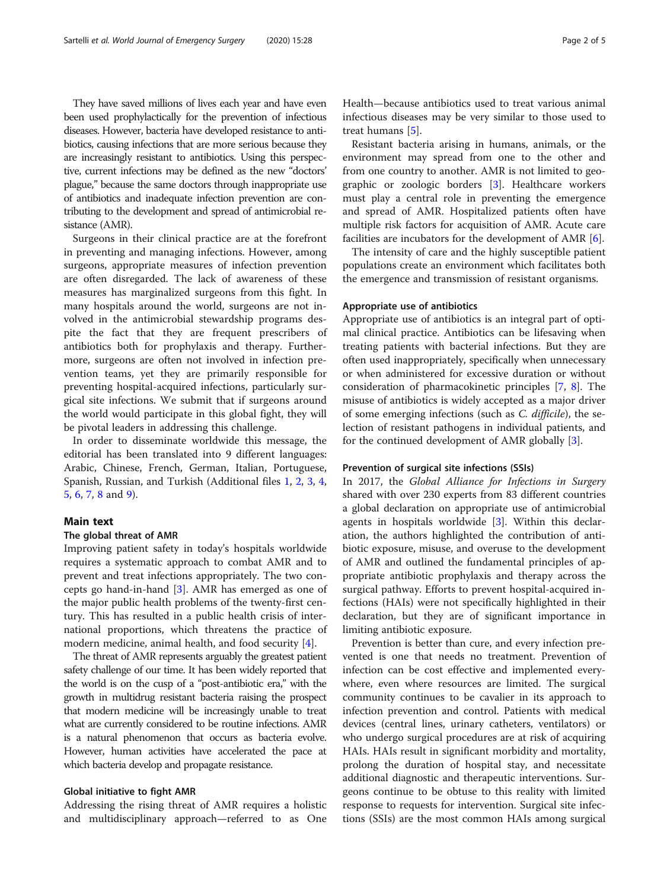They have saved millions of lives each year and have even been used prophylactically for the prevention of infectious diseases. However, bacteria have developed resistance to antibiotics, causing infections that are more serious because they are increasingly resistant to antibiotics. Using this perspective, current infections may be defined as the new "doctors' plague," because the same doctors through inappropriate use of antibiotics and inadequate infection prevention are contributing to the development and spread of antimicrobial resistance (AMR).

Surgeons in their clinical practice are at the forefront in preventing and managing infections. However, among surgeons, appropriate measures of infection prevention are often disregarded. The lack of awareness of these measures has marginalized surgeons from this fight. In many hospitals around the world, surgeons are not involved in the antimicrobial stewardship programs despite the fact that they are frequent prescribers of antibiotics both for prophylaxis and therapy. Furthermore, surgeons are often not involved in infection prevention teams, yet they are primarily responsible for preventing hospital-acquired infections, particularly surgical site infections. We submit that if surgeons around the world would participate in this global fight, they will be pivotal leaders in addressing this challenge.

In order to disseminate worldwide this message, the editorial has been translated into 9 different languages: Arabic, Chinese, French, German, Italian, Portuguese, Spanish, Russian, and Turkish (Additional files 1, 2, 3, 4, 5, 6, 7, 8 and 9).

### Main text

#### The global threat of AMR

Improving patient safety in today's hospitals worldwide requires a systematic approach to combat AMR and to prevent and treat infections appropriately. The two concepts go hand-in-hand [3]. AMR has emerged as one of the major public health problems of the twenty-first century. This has resulted in a public health crisis of international proportions, which threatens the practice of modern medicine, animal health, and food security [4].

The threat of AMR represents arguably the greatest patient safety challenge of our time. It has been widely reported that the world is on the cusp of a "post-antibiotic era," with the growth in multidrug resistant bacteria raising the prospect that modern medicine will be increasingly unable to treat what are currently considered to be routine infections. AMR is a natural phenomenon that occurs as bacteria evolve. However, human activities have accelerated the pace at which bacteria develop and propagate resistance.

#### Global initiative to fight AMR

Addressing the rising threat of AMR requires a holistic and multidisciplinary approach—referred to as One

Health—because antibiotics used to treat various animal infectious diseases may be very similar to those used to treat humans [5].

Resistant bacteria arising in humans, animals, or the environment may spread from one to the other and from one country to another. AMR is not limited to geographic or zoologic borders [3]. Healthcare workers must play a central role in preventing the emergence and spread of AMR. Hospitalized patients often have multiple risk factors for acquisition of AMR. Acute care facilities are incubators for the development of AMR [6].

The intensity of care and the highly susceptible patient populations create an environment which facilitates both the emergence and transmission of resistant organisms.

#### Appropriate use of antibiotics

Appropriate use of antibiotics is an integral part of optimal clinical practice. Antibiotics can be lifesaving when treating patients with bacterial infections. But they are often used inappropriately, specifically when unnecessary or when administered for excessive duration or without consideration of pharmacokinetic principles [7, 8]. The misuse of antibiotics is widely accepted as a major driver of some emerging infections (such as C. difficile), the selection of resistant pathogens in individual patients, and for the continued development of AMR globally [3].

#### Prevention of surgical site infections (SSIs)

In 2017, the Global Alliance for Infections in Surgery shared with over 230 experts from 83 different countries a global declaration on appropriate use of antimicrobial agents in hospitals worldwide [3]. Within this declaration, the authors highlighted the contribution of antibiotic exposure, misuse, and overuse to the development of AMR and outlined the fundamental principles of appropriate antibiotic prophylaxis and therapy across the surgical pathway. Efforts to prevent hospital-acquired infections (HAIs) were not specifically highlighted in their declaration, but they are of significant importance in limiting antibiotic exposure.

Prevention is better than cure, and every infection prevented is one that needs no treatment. Prevention of infection can be cost effective and implemented everywhere, even where resources are limited. The surgical community continues to be cavalier in its approach to infection prevention and control. Patients with medical devices (central lines, urinary catheters, ventilators) or who undergo surgical procedures are at risk of acquiring HAIs. HAIs result in significant morbidity and mortality, prolong the duration of hospital stay, and necessitate additional diagnostic and therapeutic interventions. Surgeons continue to be obtuse to this reality with limited response to requests for intervention. Surgical site infections (SSIs) are the most common HAIs among surgical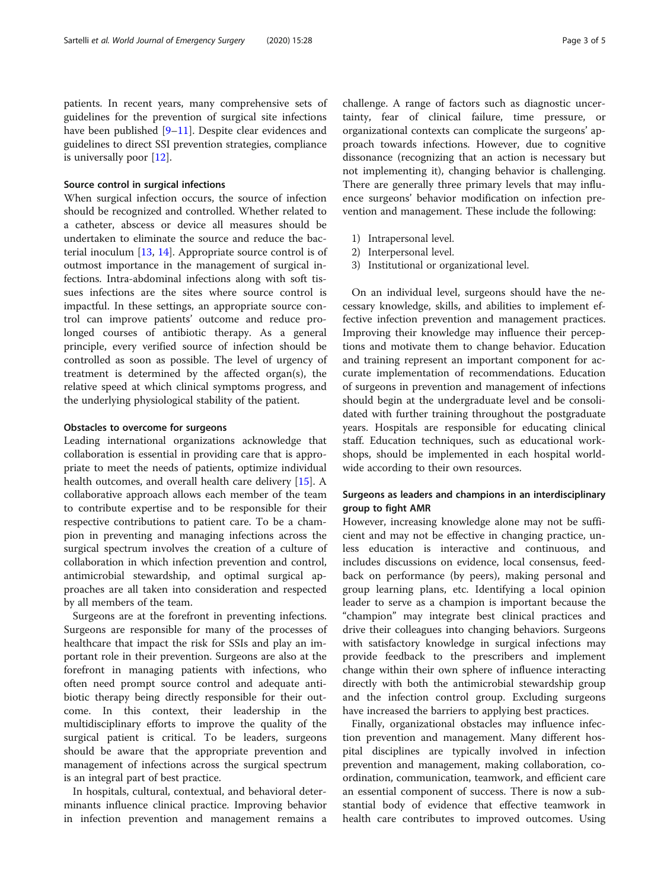patients. In recent years, many comprehensive sets of guidelines for the prevention of surgical site infections have been published [9–11]. Despite clear evidences and guidelines to direct SSI prevention strategies, compliance is universally poor [12].

# Source control in surgical infections

When surgical infection occurs, the source of infection should be recognized and controlled. Whether related to a catheter, abscess or device all measures should be undertaken to eliminate the source and reduce the bacterial inoculum [13, 14]. Appropriate source control is of outmost importance in the management of surgical infections. Intra-abdominal infections along with soft tissues infections are the sites where source control is impactful. In these settings, an appropriate source control can improve patients' outcome and reduce prolonged courses of antibiotic therapy. As a general principle, every verified source of infection should be controlled as soon as possible. The level of urgency of treatment is determined by the affected organ(s), the relative speed at which clinical symptoms progress, and the underlying physiological stability of the patient.

#### Obstacles to overcome for surgeons

Leading international organizations acknowledge that collaboration is essential in providing care that is appropriate to meet the needs of patients, optimize individual health outcomes, and overall health care delivery [15]. A collaborative approach allows each member of the team to contribute expertise and to be responsible for their respective contributions to patient care. To be a champion in preventing and managing infections across the surgical spectrum involves the creation of a culture of collaboration in which infection prevention and control, antimicrobial stewardship, and optimal surgical approaches are all taken into consideration and respected by all members of the team.

Surgeons are at the forefront in preventing infections. Surgeons are responsible for many of the processes of healthcare that impact the risk for SSIs and play an important role in their prevention. Surgeons are also at the forefront in managing patients with infections, who often need prompt source control and adequate antibiotic therapy being directly responsible for their outcome. In this context, their leadership in the multidisciplinary efforts to improve the quality of the surgical patient is critical. To be leaders, surgeons should be aware that the appropriate prevention and management of infections across the surgical spectrum is an integral part of best practice.

In hospitals, cultural, contextual, and behavioral determinants influence clinical practice. Improving behavior in infection prevention and management remains a

challenge. A range of factors such as diagnostic uncertainty, fear of clinical failure, time pressure, or organizational contexts can complicate the surgeons' approach towards infections. However, due to cognitive dissonance (recognizing that an action is necessary but not implementing it), changing behavior is challenging. There are generally three primary levels that may influence surgeons' behavior modification on infection prevention and management. These include the following:

- 1) Intrapersonal level.<br>2) Interpersonal level.
- 
- $\overline{a}$ ) Institutional or org  $3<sub>g</sub>$

On an individual level, surgeons should have the necessary knowledge, skills, and abilities to implement effective infection prevention and management practices. Improving their knowledge may influence their perceptions and motivate them to change behavior. Education and training represent an important component for accurate implementation of recommendations. Education of surgeons in prevention and management of infections should begin at the undergraduate level and be consolidated with further training throughout the postgraduate years. Hospitals are responsible for educating clinical staff. Education techniques, such as educational workshops, should be implemented in each hospital worldwide according to their own resources.

## Surgeons as leaders and champions in an interdisciplinary group to fight AMR

However, increasing knowledge alone may not be sufficient and may not be effective in changing practice, unless education is interactive and continuous, and includes discussions on evidence, local consensus, feedback on performance (by peers), making personal and group learning plans, etc. Identifying a local opinion leader to serve as a champion is important because the "champion" may integrate best clinical practices and drive their colleagues into changing behaviors. Surgeons with satisfactory knowledge in surgical infections may provide feedback to the prescribers and implement change within their own sphere of influence interacting directly with both the antimicrobial stewardship group and the infection control group. Excluding surgeons have increased the barriers to applying best practices.

Finally, organizational obstacles may influence infection prevention and management. Many different hospital disciplines are typically involved in infection prevention and management, making collaboration, coordination, communication, teamwork, and efficient care an essential component of success. There is now a substantial body of evidence that effective teamwork in health care contributes to improved outcomes. Using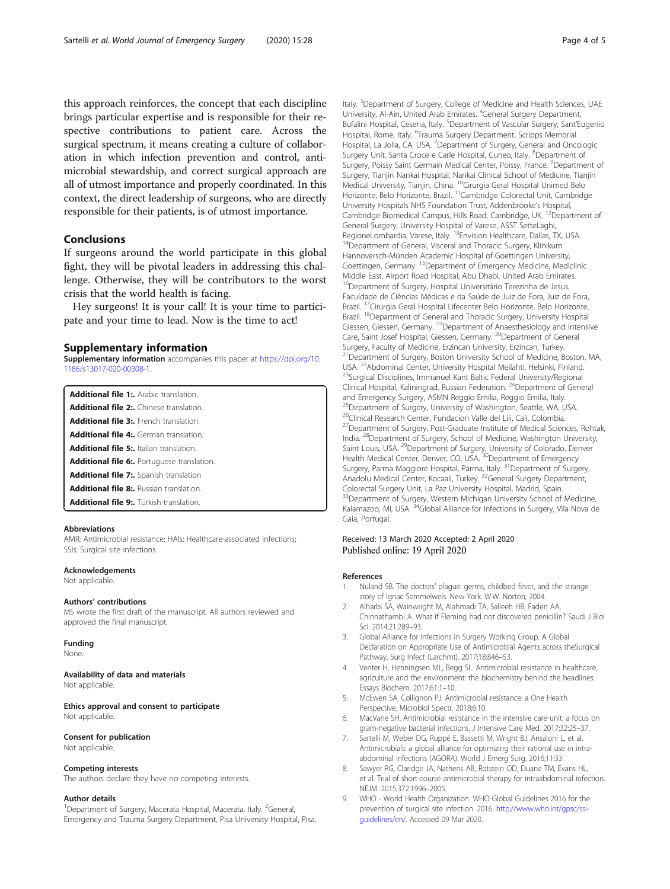this approach reinforces, the concept that each discipline brings particular expertise and is responsible for their respective contributions to patient care. Across the surgical spectrum, it means creating a culture of collaboration in which infection prevention and control, antimicrobial stewardship, and correct surgical approach are all of utmost importance and properly coordinated. In this context, the direct leadership of surgeons, who are directly responsible for their patients, is of utmost importance.

## Conclusions

If surgeons around the world participate in this global fight, they will be pivotal leaders in addressing this challenge. Otherwise, they will be contributors to the worst crisis that the world health is facing.

Hey surgeons! It is your call! It is your time to participate and your time to lead. Now is the time to act!

#### Supplementary information

Supplementary information accompanies this paper at [https://doi.org/10.](https://doi.org/10.1186/s13017-020-00308-1) [1186/s13017-020-00308-1](https://doi.org/10.1186/s13017-020-00308-1).

Additional file 1:. Arabic translation. Additional file 2:. Chinese translation. Additional file 3: French translation Additional file 4:. German translation. Additional file 5:. Italian translation. Additional file 6:. Portuguese translation. Additional file 7:. Spanish translation Additional file 8:. Russian translation. Additional file 9:. Turkish translation.

#### Abbreviations

AMR: Antimicrobial resistance; HAIs: Healthcare-associated infections; SSIs: Surgical site infections

#### Acknowledgements

Not applicable.

#### Authors' contributions

MS wrote the first draft of the manuscript. All authors reviewed and approved the final manuscript.

#### Funding

None.

#### Availability of data and materials

Not applicable.

Ethics approval and consent to participate Not applicable.

#### Consent for publication

Not applicable.

#### Competing interests

The authors declare they have no competing interests.

#### Author details

<sup>1</sup>Department of Surgery, Macerata Hospital, Macerata, Italy. <sup>2</sup>General, Emergency and Trauma Surgery Department, Pisa University Hospital, Pisa,

Italy. <sup>3</sup>Department of Surgery, College of Medicine and Health Sciences, UAE University, Al-Ain, United Arab Emirates. <sup>4</sup>General Surgery Department Bufalini Hospital, Cesena, Italy. <sup>5</sup>Department of Vascular Surgery, Sant'Eugenic Hospital, Rome, Italy. <sup>6</sup>Trauma Surgery Department, Scripps Memorial Hospital, La Jolla, CA, USA. <sup>7</sup> Department of Surgery, General and Oncologic Surgery Unit, Santa Croce e Carle Hospital, Cuneo, Italy. <sup>8</sup>Department of Surgery, Poissy Saint Germain Medical Center, Poissy, France. <sup>9</sup>Department of Surgery, Tianjin Nankai Hospital, Nankai Clinical School of Medicine, Tianjin Medical University, Tianjin, China. <sup>10</sup>Cirurgia Geral Hospital Unimed Belo Horizonte, Belo Horizonte, Brazil. <sup>11</sup>Cambridge Colorectal Unit, Cambridge University Hospitals NHS Foundation Trust, Addenbrooke's Hospital, Cambridge Biomedical Campus, Hills Road, Cambridge, UK. 12Department of General Surgery, University Hospital of Varese, ASST SetteLaghi, RegioneLombardia, Varese, Italy. <sup>13</sup>Envision Healthcare, Dallas, TX, USA.<br><sup>14</sup>Department of General, Visceral and Thoracic Surgery, Klinikum Hannoversch-Münden Academic Hospital of Goettingen University, Goettingen, Germany. 15Department of Emergency Medicine, Mediclinic Middle East, Airport Road Hospital, Abu Dhabi, United Arab Emirates. <sup>16</sup>Department of Surgery, Hospital Universitário Terezinha de Jesus, Faculdade de Ciências Médicas e da Saúde de Juiz de Fora, Juiz de Fora, Brazil. 17Cirurgia Geral Hospital Lifecenter Belo Horizonte, Belo Horizonte, Brazil. <sup>18</sup>Department of General and Thoracic Surgery, University Hospital Giessen, Giessen, Germany. 19Department of Anaesthesiology and Intensive Care, Saint Josef Hospital, Giessen, Germany. <sup>20</sup>Department of General Surgery, Faculty of Medicine, Erzincan University, Erzincan, Turkey. <sup>21</sup>Department of Surgery, Boston University School of Medicine, Boston, MA, USA. <sup>22</sup>Abdominal Center, University Hospital Meilahti, Helsinki, Finland.<br><sup>23</sup>Surgical Disciplines, Immanuel Kant Baltic Federal University/Regional Clinical Hospital, Kaliningrad, Russian Federation. 24Department of General and Emergency Surgery, ASMN Reggio Emilia, Reggio Emilia, Italy. <sup>25</sup>Department of Surgery, University of Washington, Seattle, WA, USA. <sup>26</sup>Clinical Research Center, Fundacion Valle del Lili, Cali, Colombia. <sup>27</sup>Department of Surgery, Post-Graduate Institute of Medical Sciences, Rohtak, India. 28Department of Surgery, School of Medicine, Washington University, Saint Louis, USA. <sup>29</sup>Department of Surgery, University of Colorado, Denver Health Medical Center, Denver, CO, USA.<sup>30</sup>Department of Emergency Surgery, Parma Maggiore Hospital, Parma, Italy.<sup>31</sup> Department of Surgery, Anadolu Medical Center, Kocaali, Turkey. 32General Surgery Department, Colorectal Surgery Unit, La Paz University Hospital, Madrid, Spain. <sup>33</sup>Department of Surgery, Western Michigan University School of Medicine, Kalamazoo, MI, USA. 34Global Alliance for Infections in Surgery, Vila Nova de Gaia, Portugal.

#### Received: 13 March 2020 Accepted: 2 April 2020 Published online: 19 April 2020

#### References

- Nuland SB. The doctors' plague: germs, childbed fever, and the strange story of Ignac Semmelweis. New York: W.W. Norton; 2004.
- 2. Alharbi SA, Wainwright M, Alahmadi TA, Salleeh HB, Faden AA, Chinnathambi A. What if Fleming had not discovered penicillin? Saudi J Biol Sci. 2014;21:289–93.
- 3. Global Alliance for Infections in Surgery Working Group. A Global Declaration on Appropriate Use of Antimicrobial Agents across theSurgical Pathway. Surg Infect (Larchmt). 2017;18:846–53.
- 4. Venter H, Henningsen ML, Begg SL. Antimicrobial resistance in healthcare, agriculture and the environment: the biochemistry behind the headlines. Essays Biochem. 2017;61:1–10.
- 5. McEwen SA, Collignon PJ. Antimicrobial resistance: a One Health Perspective. Microbiol Spectr. 2018;6:10.
- 6. MacVane SH. Antimicrobial resistance in the intensive care unit: a focus on gram-negative bacterial infections. J Intensive Care Med. 2017;32:25–37.
- 7. Sartelli M, Weber DG, Ruppé E, Bassetti M, Wright BJ, Ansaloni L, et al. Antimicrobials: a global alliance for optimizing their rational use in intraabdominal infections (AGORA). World J Emerg Surg. 2016;11:33.
- 8. Sawyer RG, Claridge JA, Nathens AB, Rotstein OD, Duane TM, Evans HL, et al. Trial of short-course antimicrobial therapy for intraabdominal infection. NEJM. 2015;372:1996–2005.
- 9. WHO World Health Organization. WHO Global Guidelines 2016 for the prevention of surgical site infection. 2016. [http://www.who.int/gpsc/ssi](http://www.who.int/gpsc/ssi-guidelines/en/)[guidelines/en/.](http://www.who.int/gpsc/ssi-guidelines/en/) Accessed 09 Mar 2020.